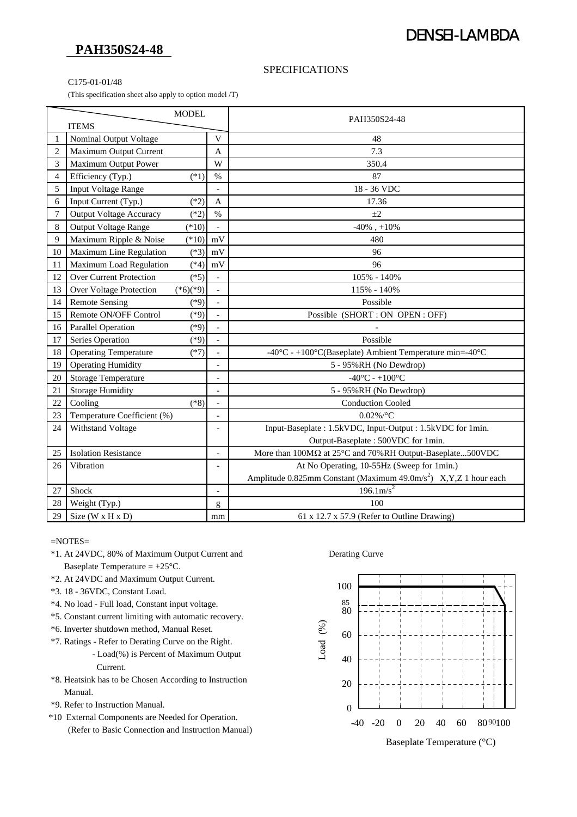## **PAH350S24-48**

# DENSEI-LAMBDA

### SPECIFICATIONS

#### C175-01-01/48

(This specification sheet also apply to option model /T)

| <b>MODEL</b>   |                                          |                          | PAH350S24-48                                                                   |
|----------------|------------------------------------------|--------------------------|--------------------------------------------------------------------------------|
| <b>ITEMS</b>   |                                          |                          |                                                                                |
| 1              | Nominal Output Voltage                   | V                        | 48                                                                             |
| $\overline{2}$ | Maximum Output Current                   | $\mathbf{A}$             | 7.3                                                                            |
| 3              | Maximum Output Power                     | W                        | 350.4                                                                          |
| 4              | Efficiency (Typ.)<br>$(*1)$              | $\%$                     | 87                                                                             |
| 5              | <b>Input Voltage Range</b>               |                          | 18 - 36 VDC                                                                    |
| 6              | Input Current (Typ.)<br>$(*2)$           | A                        | 17.36                                                                          |
| $\overline{7}$ | <b>Output Voltage Accuracy</b><br>$(*2)$ | $\%$                     | $\pm 2$                                                                        |
| 8              | Output Voltage Range<br>$(*10)$          |                          | $-40\%$ , $+10\%$                                                              |
| 9              | Maximum Ripple & Noise<br>$(*10)$        | mV                       | 480                                                                            |
| 10             | Maximum Line Regulation<br>$(*3)$        | mV                       | 96                                                                             |
| 11             | Maximum Load Regulation<br>$(*4)$        | mV                       | 96                                                                             |
| 12             | <b>Over Current Protection</b><br>$(*5)$ |                          | 105% - 140%                                                                    |
| 13             | Over Voltage Protection<br>$(*6)(*9)$    |                          | 115% - 140%                                                                    |
| 14             | <b>Remote Sensing</b><br>$(*9)$          | $\overline{\phantom{a}}$ | Possible                                                                       |
| 15             | Remote ON/OFF Control<br>$(*9)$          | $\overline{\phantom{a}}$ | Possible (SHORT: ON OPEN: OFF)                                                 |
| 16             | $(*9)$<br><b>Parallel Operation</b>      |                          |                                                                                |
| 17             | $(*9)$<br>Series Operation               |                          | Possible                                                                       |
| 18             | <b>Operating Temperature</b><br>$(*7)$   |                          | -40°C - +100°C(Baseplate) Ambient Temperature min=-40°C                        |
| 19             | <b>Operating Humidity</b>                | $\overline{a}$           | 5 - 95%RH (No Dewdrop)                                                         |
| 20             | <b>Storage Temperature</b>               |                          | $-40^{\circ}$ C - $+100^{\circ}$ C                                             |
| 21             | Storage Humidity                         | $\overline{\phantom{a}}$ | 5 - 95%RH (No Dewdrop)                                                         |
| 22             | $(*8)$<br>Cooling                        |                          | <b>Conduction Cooled</b>                                                       |
| 23             | Temperature Coefficient (%)              |                          | $0.02\%$ /°C                                                                   |
| 24             | Withstand Voltage                        |                          | Input-Baseplate: 1.5kVDC, Input-Output: 1.5kVDC for 1min.                      |
|                |                                          |                          | Output-Baseplate: 500VDC for 1min.                                             |
| 25             | <b>Isolation Resistance</b>              | $\overline{a}$           | More than 100MΩ at 25°C and 70%RH Output-Baseplate500VDC                       |
| 26             | Vibration                                |                          | At No Operating, 10-55Hz (Sweep for 1min.)                                     |
|                |                                          |                          | Amplitude 0.825mm Constant (Maximum 49.0m/s <sup>2</sup> ) X, Y, Z 1 hour each |
| 27             | Shock                                    | $\overline{\phantom{a}}$ | $196.1 \text{m/s}^2$                                                           |
| 28             | Weight (Typ.)                            | g                        | 100                                                                            |
| 29             | Size (W x H x D)                         | mm                       | 61 x 12.7 x 57.9 (Refer to Outline Drawing)                                    |

#### =NOTES=

- \*1. At 24VDC, 80% of Maximum Output Current and Derating Curve Baseplate Temperature  $= +25^{\circ}C$ .
- \*2. At 24VDC and Maximum Output Current.
- \*3. 18 36VDC, Constant Load.
- \*4. No load Full load, Constant input voltage.
- \*5. Constant current limiting with automatic recovery.
- \*6. Inverter shutdown method, Manual Reset.
- \*7. Ratings Refer to Derating Curve on the Right.
	- Load(%) is Percent of Maximum Output Current.
- \*8. Heatsink has to be Chosen According to Instruction Manual.
- \*9. Refer to Instruction Manual.
- \*10 External Components are Needed for Operation. (Refer to Basic Connection and Instruction Manual)